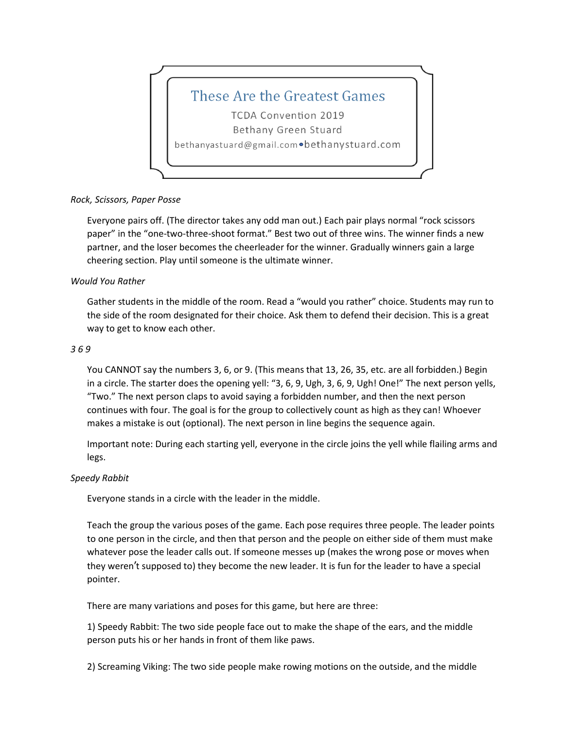

## *Rock, Scissors, Paper Posse*

Everyone pairs off. (The director takes any odd man out.) Each pair plays normal "rock scissors paper" in the "one-two-three-shoot format." Best two out of three wins. The winner finds a new partner, and the loser becomes the cheerleader for the winner. Gradually winners gain a large cheering section. Play until someone is the ultimate winner.

## *Would You Rather*

Gather students in the middle of the room. Read a "would you rather" choice. Students may run to the side of the room designated for their choice. Ask them to defend their decision. This is a great way to get to know each other.

## *3 6 9*

You CANNOT say the numbers 3, 6, or 9. (This means that 13, 26, 35, etc. are all forbidden.) Begin in a circle. The starter does the opening yell: "3, 6, 9, Ugh, 3, 6, 9, Ugh! One!" The next person yells, "Two." The next person claps to avoid saying a forbidden number, and then the next person continues with four. The goal is for the group to collectively count as high as they can! Whoever makes a mistake is out (optional). The next person in line begins the sequence again.

Important note: During each starting yell, everyone in the circle joins the yell while flailing arms and legs.

## *Speedy Rabbit*

Everyone stands in a circle with the leader in the middle.

Teach the group the various poses of the game. Each pose requires three people. The leader points to one person in the circle, and then that person and the people on either side of them must make whatever pose the leader calls out. If someone messes up (makes the wrong pose or moves when they weren't supposed to) they become the new leader. It is fun for the leader to have a special pointer.

There are many variations and poses for this game, but here are three:

1) Speedy Rabbit: The two side people face out to make the shape of the ears, and the middle person puts his or her hands in front of them like paws.

2) Screaming Viking: The two side people make rowing motions on the outside, and the middle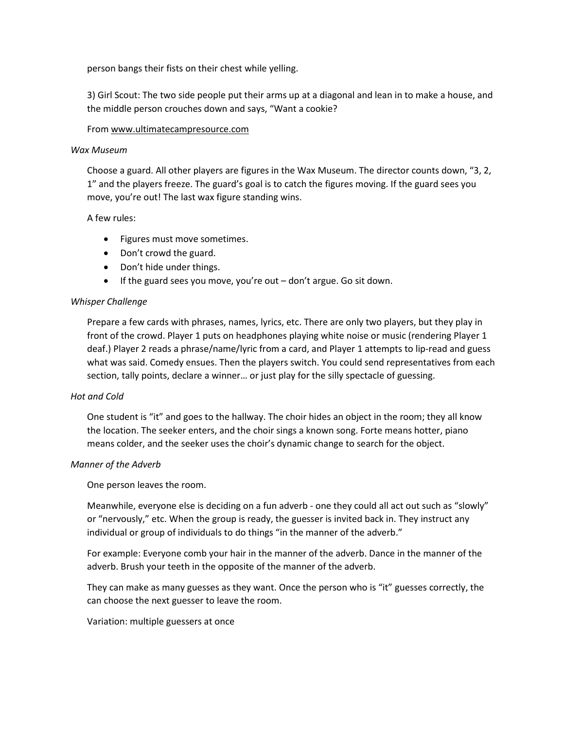person bangs their fists on their chest while yelling.

3) Girl Scout: The two side people put their arms up at a diagonal and lean in to make a house, and the middle person crouches down and says, "Want a cookie?

#### From www.ultimatecampresource.com

#### *Wax Museum*

Choose a guard. All other players are figures in the Wax Museum. The director counts down, "3, 2, 1" and the players freeze. The guard's goal is to catch the figures moving. If the guard sees you move, you're out! The last wax figure standing wins.

#### A few rules:

- Figures must move sometimes.
- Don't crowd the guard.
- Don't hide under things.
- If the guard sees you move, you're out don't argue. Go sit down.

#### *Whisper Challenge*

Prepare a few cards with phrases, names, lyrics, etc. There are only two players, but they play in front of the crowd. Player 1 puts on headphones playing white noise or music (rendering Player 1 deaf.) Player 2 reads a phrase/name/lyric from a card, and Player 1 attempts to lip-read and guess what was said. Comedy ensues. Then the players switch. You could send representatives from each section, tally points, declare a winner… or just play for the silly spectacle of guessing.

#### *Hot and Cold*

One student is "it" and goes to the hallway. The choir hides an object in the room; they all know the location. The seeker enters, and the choir sings a known song. Forte means hotter, piano means colder, and the seeker uses the choir's dynamic change to search for the object.

## *Manner of the Adverb*

One person leaves the room.

Meanwhile, everyone else is deciding on a fun adverb - one they could all act out such as "slowly" or "nervously," etc. When the group is ready, the guesser is invited back in. They instruct any individual or group of individuals to do things "in the manner of the adverb."

For example: Everyone comb your hair in the manner of the adverb. Dance in the manner of the adverb. Brush your teeth in the opposite of the manner of the adverb.

They can make as many guesses as they want. Once the person who is "it" guesses correctly, the can choose the next guesser to leave the room.

#### Variation: multiple guessers at once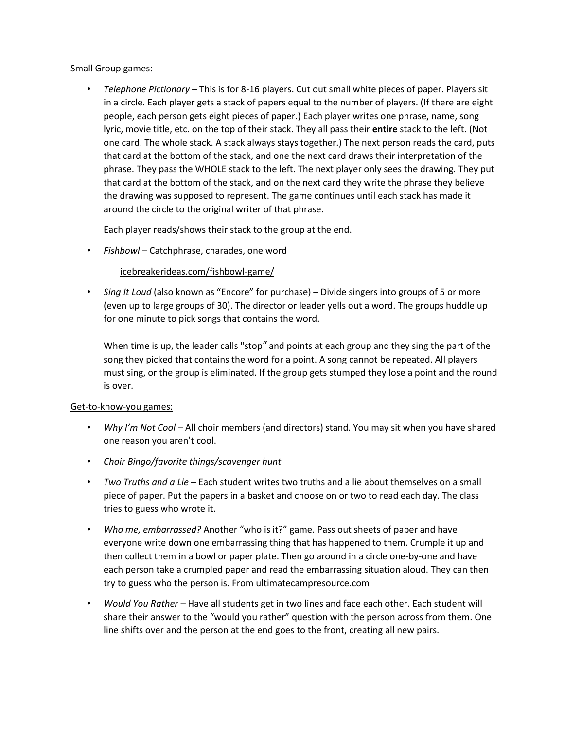## Small Group games:

• *Telephone Pictionary* – This is for 8-16 players. Cut out small white pieces of paper. Players sit in a circle. Each player gets a stack of papers equal to the number of players. (If there are eight people, each person gets eight pieces of paper.) Each player writes one phrase, name, song lyric, movie title, etc. on the top of their stack. They all pass their **entire** stack to the left. (Not one card. The whole stack. A stack always stays together.) The next person reads the card, puts that card at the bottom of the stack, and one the next card draws their interpretation of the phrase. They pass the WHOLE stack to the left. The next player only sees the drawing. They put that card at the bottom of the stack, and on the next card they write the phrase they believe the drawing was supposed to represent. The game continues until each stack has made it around the circle to the original writer of that phrase.

Each player reads/shows their stack to the group at the end.

• *Fishbowl –* Catchphrase, charades, one word

[icebreakerideas.com/fishbowl-game/](https://icebreakerideas.com/fishbowl-game/)

• *Sing It Loud* (also known as "Encore" for purchase) – Divide singers into groups of 5 or more (even up to large groups of 30). The director or leader yells out a word. The groups huddle up for one minute to pick songs that contains the word.

When time is up, the leader calls "stop" and points at each group and they sing the part of the song they picked that contains the word for a point. A song cannot be repeated. All players must sing, or the group is eliminated. If the group gets stumped they lose a point and the round is over.

## Get-to-know-you games:

- *Why I'm Not Cool –* All choir members (and directors) stand. You may sit when you have shared one reason you aren't cool.
- *Choir Bingo/favorite things/scavenger hunt*
- *Two Truths and a Lie –* Each student writes two truths and a lie about themselves on a small piece of paper. Put the papers in a basket and choose on or two to read each day. The class tries to guess who wrote it.
- *Who me, embarrassed?* Another "who is it?" game. Pass out sheets of paper and have everyone write down one embarrassing thing that has happened to them. Crumple it up and then collect them in a bowl or paper plate. Then go around in a circle one-by-one and have each person take a crumpled paper and read the embarrassing situation aloud. They can then try to guess who the person is. From ultimatecampresource.com
- *Would You Rather –* Have all students get in two lines and face each other. Each student will share their answer to the "would you rather" question with the person across from them. One line shifts over and the person at the end goes to the front, creating all new pairs.